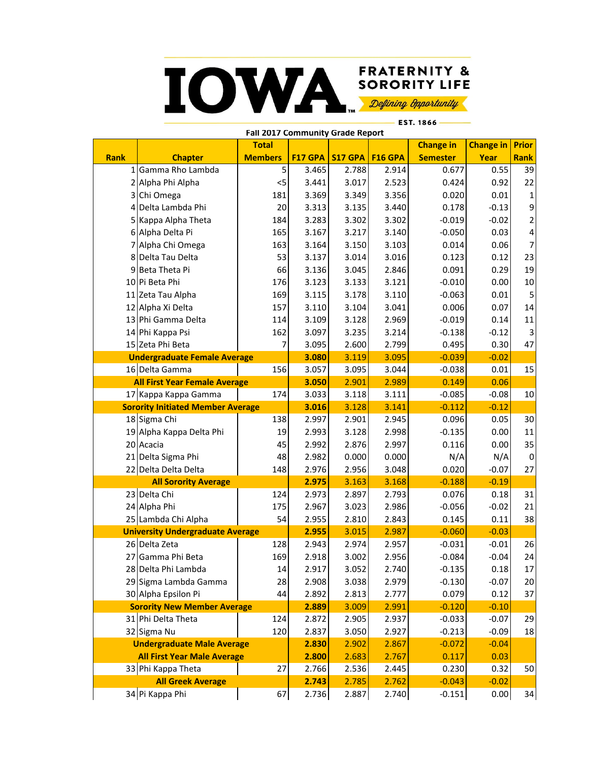## **FRATERNITY & IOWA SORORITY LIFE** Defining Opportunity EST. 1866

**Rank Chapter Total Members F17 GPA S17 GPA F16 GPA Change in Semester Change in | Prior Year Rank** 1 Gamma Rho Lambda | 5 3.465 | 2.788 | 2.914 | 0.677 | 0.55 | 39 2 Alpha Phi Alpha <5 3.441 3.017 2.523 0.424 0.92 22 3 Chi Omega 2010 181 2.369 3.349 3.356 0.020 0.01 1 4 Delta Lambda Phi 20 3.313 3.135 3.440 0.178 -0.13 9 5 Kappa Alpha Theta 184 3.283 3.302 3.302 -0.019 -0.02 2 6 Alpha Delta Pi 165 3.167 3.217 3.140 -0.050 0.03 4 7 Alpha Chi Omega 163 | 3.164 | 3.150 | 3.103 | 0.014 | 0.06 | 7 8 Delta Tau Delta 53 3.137 3.014 3.016 0.123 0.12 23 9 Beta Theta Pi 66 3.136 3.045 2.846 0.091 0.29 19 10 Pi Beta Phi 176 3.123 3.133 3.121 -0.010 0.00 10 11 Zeta Tau Alpha 169 3.115 3.178 3.110 -0.063 0.01 5 12 Alpha Xi Delta 157 3.110 3.104 3.041 0.006 0.07 14 13 Phi Gamma Delta 114 3.109 3.128 2.969 -0.019 0.14 11 14 Phi Kappa Psi 2010 | 202 | 3.097 3.235 3.214 -0.138 -0.12 3 15 Zeta Phi Beta 7 3.095 2.600 2.799 0.495 0.30 47 <mark>3.080</mark> 3.119 3.095 -0.039 -0.02 16 Delta Gamma 156 3.057 3.095 3.044 -0.038 0.01 15 **3.050** 2.901 2.989 0.149 0.06 17 Kappa Kappa Gamma | 174 3.033 3.118 3.111 - 0.085 - 0.08 10 **3.016** 3.128 3.141 -0.112 -0.12 18 Sigma Chi 138 2.997 2.901 2.945 0.096 0.05 30 19 Alpha Kappa Delta Phi | 19 | 2.993 | 3.128 | 2.998 | 2.995 | 2.00 | 11 20 Acacia 45 2.992 2.876 2.997 0.116 0.00 35 21 Delta Sigma Phi 48 2.982 0.000 0.000 N/A N/A 0 22 Delta Delta Delta 148 2.976 2.956 3.048 0.020 -0.07 27 <mark>2.975|</mark> 3.163| 3.168| -0.188| -0.19 23 Delta Chi 124 2.973 2.897 2.793 0.076 0.18 31 24 Alpha Phi 175 2.967 3.023 2.986 -0.056 -0.02 21 25 Lambda Chi Alpha | 54 | 2.955 | 2.810 | 2.843 | 0.145 | 0.11 | 38 <mark>2.955|</mark> 3.015| 2.987| -0.060| -0.03 26 Delta Zeta 128 2.943 2.974 2.957 -0.031 -0.01 26 27 Gamma Phi Beta 169 2.918 3.002 2.956 -0.084 -0.04 24 28 Delta Phi Lambda 14 14 2.917 3.052 2.740 -0.135 0.18 17 29 Sigma Lambda Gamma | 28 | 2.908 | 3.038 | 2.979 | 20.130 | -0.07 | 20 30 Alpha Epsilon Pi 44 2.892 2.813 2.777 0.079 0.12 37 <mark>2.889|</mark> 3.009| 2.991| -0.120| -0.10 31 Phi Delta Theta 124 2.872 2.905 2.937 -0.033 -0.07 29 32 Sigma Nu 120 2.837 3.050 2.927 -0.213 -0.09 18 **2.830** 2.902 2.867 -0.072 -0.04 **2.800** 2.683 2.767 0.117 0.03 33 Phi Kappa Theta | 27 2.766 2.536 2.445 0.230 0.32 50 <mark>2.743|</mark> 2.785| 2.762| -0.043| -0.02 34 Pi Kappa Phi (2.736 | 67 | 2.736 | 2.887 | 2.740 | 2.740 | 2.740 | 2.00 | 34 **Undergraduate Male Average All First Year Female Average Sorority New Member Average All First Year Male Average Fall 2017 Community Grade Report Sorority Initiated Member Average Undergraduate Female Average All Sorority Average All Greek Average University Undergraduate Average**